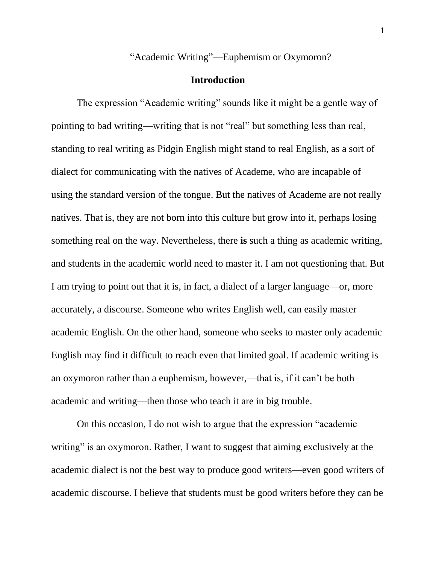"Academic Writing"—Euphemism or Oxymoron?

## **Introduction**

The expression "Academic writing" sounds like it might be a gentle way of pointing to bad writing—writing that is not "real" but something less than real, standing to real writing as Pidgin English might stand to real English, as a sort of dialect for communicating with the natives of Academe, who are incapable of using the standard version of the tongue. But the natives of Academe are not really natives. That is, they are not born into this culture but grow into it, perhaps losing something real on the way. Nevertheless, there **is** such a thing as academic writing, and students in the academic world need to master it. I am not questioning that. But I am trying to point out that it is, in fact, a dialect of a larger language—or, more accurately, a discourse. Someone who writes English well, can easily master academic English. On the other hand, someone who seeks to master only academic English may find it difficult to reach even that limited goal. If academic writing is an oxymoron rather than a euphemism, however,—that is, if it can't be both academic and writing—then those who teach it are in big trouble.

On this occasion, I do not wish to argue that the expression "academic writing" is an oxymoron. Rather, I want to suggest that aiming exclusively at the academic dialect is not the best way to produce good writers—even good writers of academic discourse. I believe that students must be good writers before they can be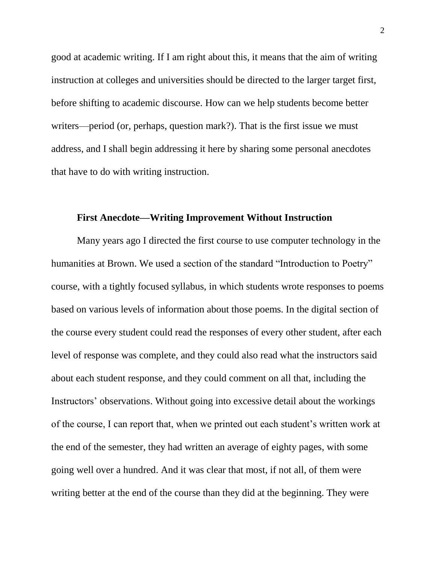good at academic writing. If I am right about this, it means that the aim of writing instruction at colleges and universities should be directed to the larger target first, before shifting to academic discourse. How can we help students become better writers—period (or, perhaps, question mark?). That is the first issue we must address, and I shall begin addressing it here by sharing some personal anecdotes that have to do with writing instruction.

## **First Anecdote—Writing Improvement Without Instruction**

Many years ago I directed the first course to use computer technology in the humanities at Brown. We used a section of the standard "Introduction to Poetry" course, with a tightly focused syllabus, in which students wrote responses to poems based on various levels of information about those poems. In the digital section of the course every student could read the responses of every other student, after each level of response was complete, and they could also read what the instructors said about each student response, and they could comment on all that, including the Instructors' observations. Without going into excessive detail about the workings of the course, I can report that, when we printed out each student's written work at the end of the semester, they had written an average of eighty pages, with some going well over a hundred. And it was clear that most, if not all, of them were writing better at the end of the course than they did at the beginning. They were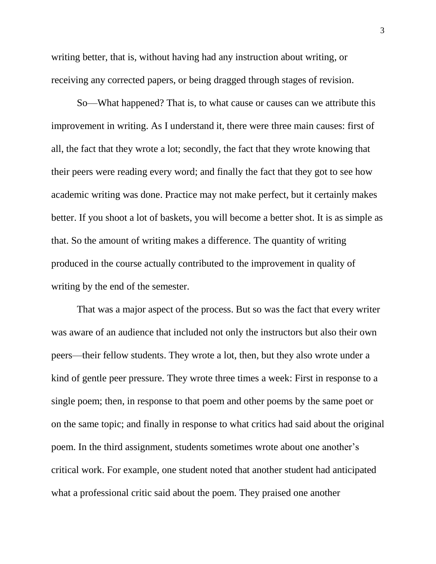writing better, that is, without having had any instruction about writing, or receiving any corrected papers, or being dragged through stages of revision.

So—What happened? That is, to what cause or causes can we attribute this improvement in writing. As I understand it, there were three main causes: first of all, the fact that they wrote a lot; secondly, the fact that they wrote knowing that their peers were reading every word; and finally the fact that they got to see how academic writing was done. Practice may not make perfect, but it certainly makes better. If you shoot a lot of baskets, you will become a better shot. It is as simple as that. So the amount of writing makes a difference. The quantity of writing produced in the course actually contributed to the improvement in quality of writing by the end of the semester.

That was a major aspect of the process. But so was the fact that every writer was aware of an audience that included not only the instructors but also their own peers—their fellow students. They wrote a lot, then, but they also wrote under a kind of gentle peer pressure. They wrote three times a week: First in response to a single poem; then, in response to that poem and other poems by the same poet or on the same topic; and finally in response to what critics had said about the original poem. In the third assignment, students sometimes wrote about one another's critical work. For example, one student noted that another student had anticipated what a professional critic said about the poem. They praised one another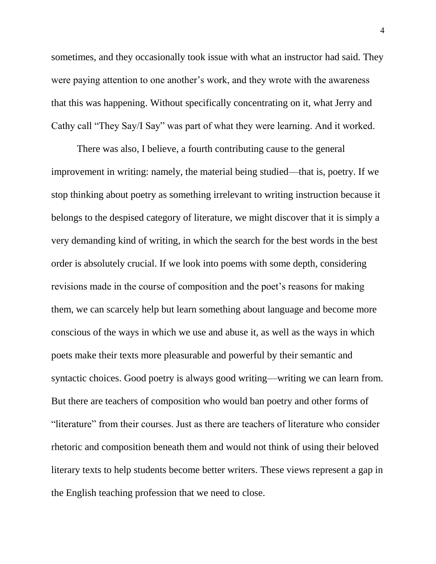sometimes, and they occasionally took issue with what an instructor had said. They were paying attention to one another's work, and they wrote with the awareness that this was happening. Without specifically concentrating on it, what Jerry and Cathy call "They Say/I Say" was part of what they were learning. And it worked.

There was also, I believe, a fourth contributing cause to the general improvement in writing: namely, the material being studied—that is, poetry. If we stop thinking about poetry as something irrelevant to writing instruction because it belongs to the despised category of literature, we might discover that it is simply a very demanding kind of writing, in which the search for the best words in the best order is absolutely crucial. If we look into poems with some depth, considering revisions made in the course of composition and the poet's reasons for making them, we can scarcely help but learn something about language and become more conscious of the ways in which we use and abuse it, as well as the ways in which poets make their texts more pleasurable and powerful by their semantic and syntactic choices. Good poetry is always good writing—writing we can learn from. But there are teachers of composition who would ban poetry and other forms of "literature" from their courses. Just as there are teachers of literature who consider rhetoric and composition beneath them and would not think of using their beloved literary texts to help students become better writers. These views represent a gap in the English teaching profession that we need to close.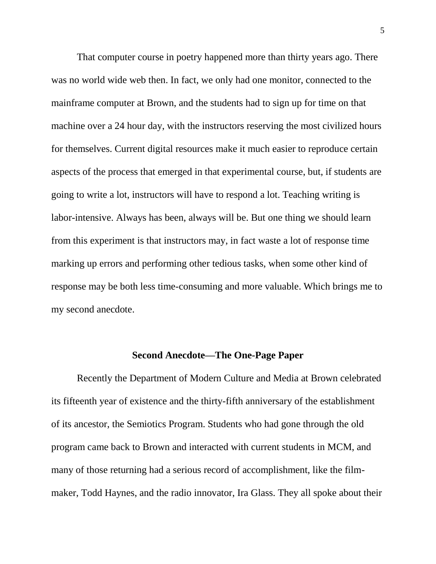That computer course in poetry happened more than thirty years ago. There was no world wide web then. In fact, we only had one monitor, connected to the mainframe computer at Brown, and the students had to sign up for time on that machine over a 24 hour day, with the instructors reserving the most civilized hours for themselves. Current digital resources make it much easier to reproduce certain aspects of the process that emerged in that experimental course, but, if students are going to write a lot, instructors will have to respond a lot. Teaching writing is labor-intensive. Always has been, always will be. But one thing we should learn from this experiment is that instructors may, in fact waste a lot of response time marking up errors and performing other tedious tasks, when some other kind of response may be both less time-consuming and more valuable. Which brings me to my second anecdote.

## **Second Anecdote—The One-Page Paper**

Recently the Department of Modern Culture and Media at Brown celebrated its fifteenth year of existence and the thirty-fifth anniversary of the establishment of its ancestor, the Semiotics Program. Students who had gone through the old program came back to Brown and interacted with current students in MCM, and many of those returning had a serious record of accomplishment, like the filmmaker, Todd Haynes, and the radio innovator, Ira Glass. They all spoke about their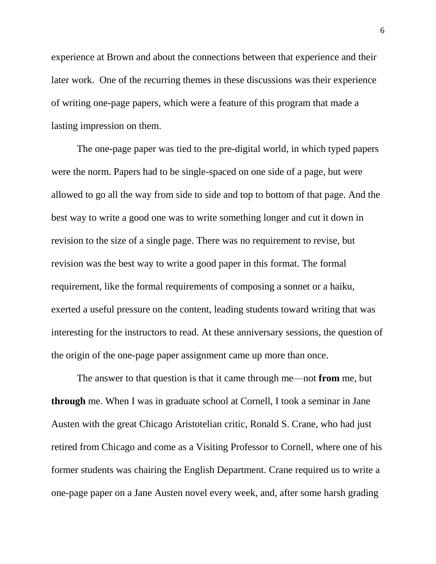experience at Brown and about the connections between that experience and their later work. One of the recurring themes in these discussions was their experience of writing one-page papers, which were a feature of this program that made a lasting impression on them.

The one-page paper was tied to the pre-digital world, in which typed papers were the norm. Papers had to be single-spaced on one side of a page, but were allowed to go all the way from side to side and top to bottom of that page. And the best way to write a good one was to write something longer and cut it down in revision to the size of a single page. There was no requirement to revise, but revision was the best way to write a good paper in this format. The formal requirement, like the formal requirements of composing a sonnet or a haiku, exerted a useful pressure on the content, leading students toward writing that was interesting for the instructors to read. At these anniversary sessions, the question of the origin of the one-page paper assignment came up more than once.

The answer to that question is that it came through me—not **from** me, but **through** me. When I was in graduate school at Cornell, I took a seminar in Jane Austen with the great Chicago Aristotelian critic, Ronald S. Crane, who had just retired from Chicago and come as a Visiting Professor to Cornell, where one of his former students was chairing the English Department. Crane required us to write a one-page paper on a Jane Austen novel every week, and, after some harsh grading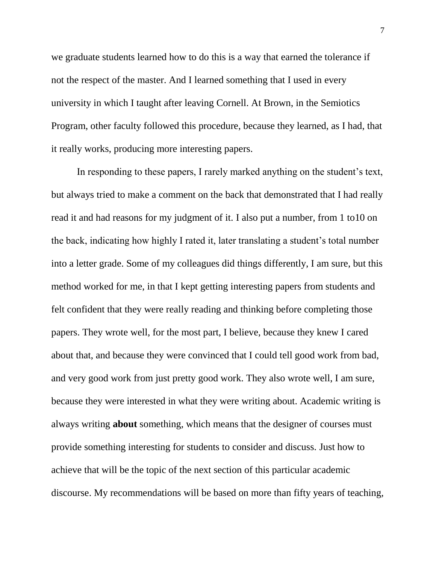we graduate students learned how to do this is a way that earned the tolerance if not the respect of the master. And I learned something that I used in every university in which I taught after leaving Cornell. At Brown, in the Semiotics Program, other faculty followed this procedure, because they learned, as I had, that it really works, producing more interesting papers.

In responding to these papers, I rarely marked anything on the student's text, but always tried to make a comment on the back that demonstrated that I had really read it and had reasons for my judgment of it. I also put a number, from 1 to10 on the back, indicating how highly I rated it, later translating a student's total number into a letter grade. Some of my colleagues did things differently, I am sure, but this method worked for me, in that I kept getting interesting papers from students and felt confident that they were really reading and thinking before completing those papers. They wrote well, for the most part, I believe, because they knew I cared about that, and because they were convinced that I could tell good work from bad, and very good work from just pretty good work. They also wrote well, I am sure, because they were interested in what they were writing about. Academic writing is always writing **about** something, which means that the designer of courses must provide something interesting for students to consider and discuss. Just how to achieve that will be the topic of the next section of this particular academic discourse. My recommendations will be based on more than fifty years of teaching,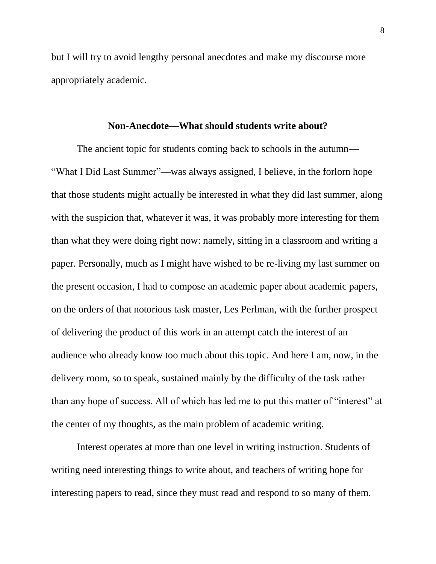but I will try to avoid lengthy personal anecdotes and make my discourse more appropriately academic.

## **Non-Anecdote—What should students write about?**

The ancient topic for students coming back to schools in the autumn— "What I Did Last Summer"—was always assigned, I believe, in the forlorn hope that those students might actually be interested in what they did last summer, along with the suspicion that, whatever it was, it was probably more interesting for them than what they were doing right now: namely, sitting in a classroom and writing a paper. Personally, much as I might have wished to be re-living my last summer on the present occasion, I had to compose an academic paper about academic papers, on the orders of that notorious task master, Les Perlman, with the further prospect of delivering the product of this work in an attempt catch the interest of an audience who already know too much about this topic. And here I am, now, in the delivery room, so to speak, sustained mainly by the difficulty of the task rather than any hope of success. All of which has led me to put this matter of "interest" at the center of my thoughts, as the main problem of academic writing.

Interest operates at more than one level in writing instruction. Students of writing need interesting things to write about, and teachers of writing hope for interesting papers to read, since they must read and respond to so many of them.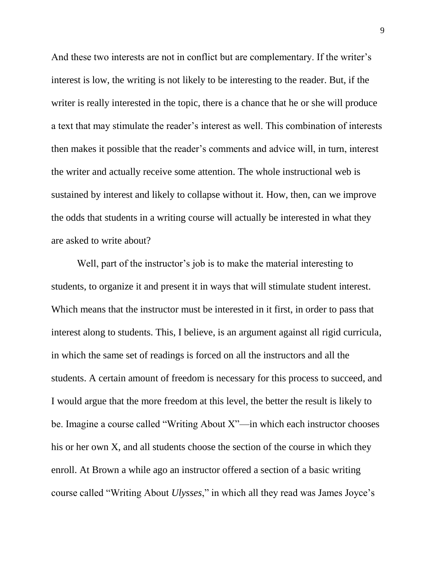And these two interests are not in conflict but are complementary. If the writer's interest is low, the writing is not likely to be interesting to the reader. But, if the writer is really interested in the topic, there is a chance that he or she will produce a text that may stimulate the reader's interest as well. This combination of interests then makes it possible that the reader's comments and advice will, in turn, interest the writer and actually receive some attention. The whole instructional web is sustained by interest and likely to collapse without it. How, then, can we improve the odds that students in a writing course will actually be interested in what they are asked to write about?

Well, part of the instructor's job is to make the material interesting to students, to organize it and present it in ways that will stimulate student interest. Which means that the instructor must be interested in it first, in order to pass that interest along to students. This, I believe, is an argument against all rigid curricula, in which the same set of readings is forced on all the instructors and all the students. A certain amount of freedom is necessary for this process to succeed, and I would argue that the more freedom at this level, the better the result is likely to be. Imagine a course called "Writing About X"—in which each instructor chooses his or her own X, and all students choose the section of the course in which they enroll. At Brown a while ago an instructor offered a section of a basic writing course called "Writing About *Ulysses*," in which all they read was James Joyce's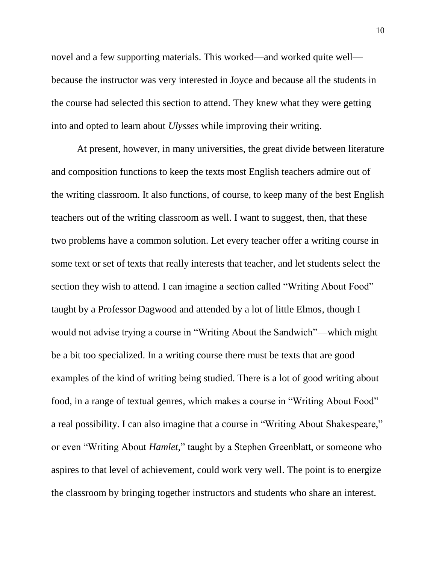novel and a few supporting materials. This worked—and worked quite well because the instructor was very interested in Joyce and because all the students in the course had selected this section to attend. They knew what they were getting into and opted to learn about *Ulysses* while improving their writing.

At present, however, in many universities, the great divide between literature and composition functions to keep the texts most English teachers admire out of the writing classroom. It also functions, of course, to keep many of the best English teachers out of the writing classroom as well. I want to suggest, then, that these two problems have a common solution. Let every teacher offer a writing course in some text or set of texts that really interests that teacher, and let students select the section they wish to attend. I can imagine a section called "Writing About Food" taught by a Professor Dagwood and attended by a lot of little Elmos, though I would not advise trying a course in "Writing About the Sandwich"—which might be a bit too specialized. In a writing course there must be texts that are good examples of the kind of writing being studied. There is a lot of good writing about food, in a range of textual genres, which makes a course in "Writing About Food" a real possibility. I can also imagine that a course in "Writing About Shakespeare," or even "Writing About *Hamlet,*" taught by a Stephen Greenblatt, or someone who aspires to that level of achievement, could work very well. The point is to energize the classroom by bringing together instructors and students who share an interest.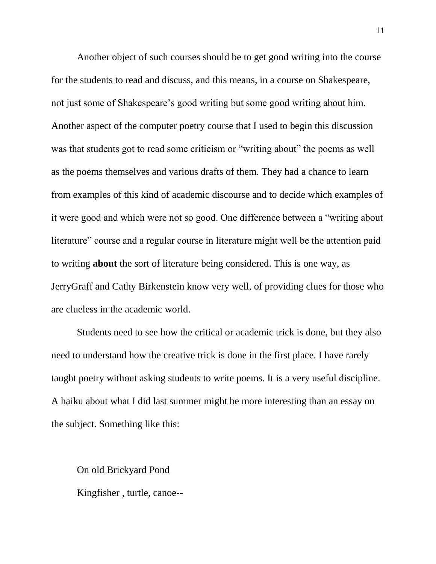Another object of such courses should be to get good writing into the course for the students to read and discuss, and this means, in a course on Shakespeare, not just some of Shakespeare's good writing but some good writing about him. Another aspect of the computer poetry course that I used to begin this discussion was that students got to read some criticism or "writing about" the poems as well as the poems themselves and various drafts of them. They had a chance to learn from examples of this kind of academic discourse and to decide which examples of it were good and which were not so good. One difference between a "writing about literature" course and a regular course in literature might well be the attention paid to writing **about** the sort of literature being considered. This is one way, as JerryGraff and Cathy Birkenstein know very well, of providing clues for those who are clueless in the academic world.

Students need to see how the critical or academic trick is done, but they also need to understand how the creative trick is done in the first place. I have rarely taught poetry without asking students to write poems. It is a very useful discipline. A haiku about what I did last summer might be more interesting than an essay on the subject. Something like this:

On old Brickyard Pond Kingfisher , turtle, canoe--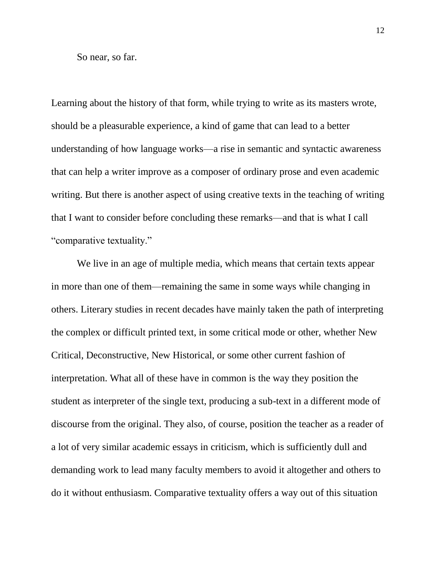So near, so far.

Learning about the history of that form, while trying to write as its masters wrote, should be a pleasurable experience, a kind of game that can lead to a better understanding of how language works—a rise in semantic and syntactic awareness that can help a writer improve as a composer of ordinary prose and even academic writing. But there is another aspect of using creative texts in the teaching of writing that I want to consider before concluding these remarks—and that is what I call "comparative textuality."

We live in an age of multiple media, which means that certain texts appear in more than one of them—remaining the same in some ways while changing in others. Literary studies in recent decades have mainly taken the path of interpreting the complex or difficult printed text, in some critical mode or other, whether New Critical, Deconstructive, New Historical, or some other current fashion of interpretation. What all of these have in common is the way they position the student as interpreter of the single text, producing a sub-text in a different mode of discourse from the original. They also, of course, position the teacher as a reader of a lot of very similar academic essays in criticism, which is sufficiently dull and demanding work to lead many faculty members to avoid it altogether and others to do it without enthusiasm. Comparative textuality offers a way out of this situation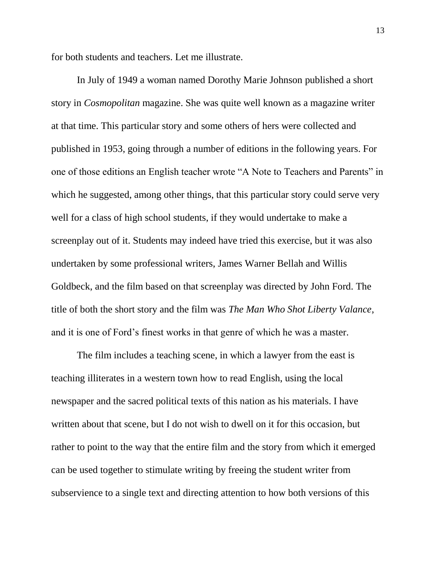for both students and teachers. Let me illustrate.

In July of 1949 a woman named Dorothy Marie Johnson published a short story in *Cosmopolitan* magazine. She was quite well known as a magazine writer at that time. This particular story and some others of hers were collected and published in 1953, going through a number of editions in the following years. For one of those editions an English teacher wrote "A Note to Teachers and Parents" in which he suggested, among other things, that this particular story could serve very well for a class of high school students, if they would undertake to make a screenplay out of it. Students may indeed have tried this exercise, but it was also undertaken by some professional writers, James Warner Bellah and Willis Goldbeck, and the film based on that screenplay was directed by John Ford. The title of both the short story and the film was *The Man Who Shot Liberty Valance*, and it is one of Ford's finest works in that genre of which he was a master.

The film includes a teaching scene, in which a lawyer from the east is teaching illiterates in a western town how to read English, using the local newspaper and the sacred political texts of this nation as his materials. I have written about that scene, but I do not wish to dwell on it for this occasion, but rather to point to the way that the entire film and the story from which it emerged can be used together to stimulate writing by freeing the student writer from subservience to a single text and directing attention to how both versions of this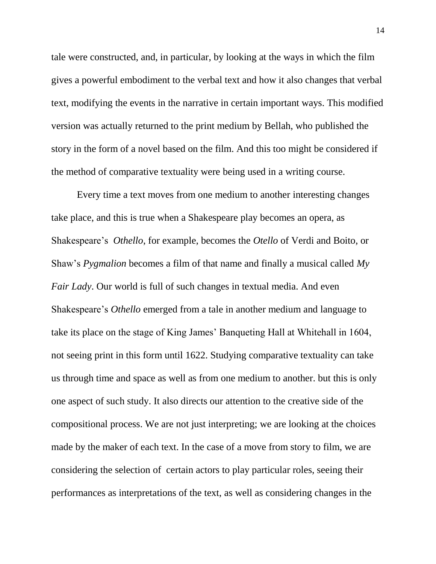tale were constructed, and, in particular, by looking at the ways in which the film gives a powerful embodiment to the verbal text and how it also changes that verbal text, modifying the events in the narrative in certain important ways. This modified version was actually returned to the print medium by Bellah, who published the story in the form of a novel based on the film. And this too might be considered if the method of comparative textuality were being used in a writing course.

Every time a text moves from one medium to another interesting changes take place, and this is true when a Shakespeare play becomes an opera, as Shakespeare's *Othello*, for example, becomes the *Otello* of Verdi and Boito, or Shaw's *Pygmalion* becomes a film of that name and finally a musical called *My Fair Lady*. Our world is full of such changes in textual media. And even Shakespeare's *Othello* emerged from a tale in another medium and language to take its place on the stage of King James' Banqueting Hall at Whitehall in 1604, not seeing print in this form until 1622. Studying comparative textuality can take us through time and space as well as from one medium to another. but this is only one aspect of such study. It also directs our attention to the creative side of the compositional process. We are not just interpreting; we are looking at the choices made by the maker of each text. In the case of a move from story to film, we are considering the selection of certain actors to play particular roles, seeing their performances as interpretations of the text, as well as considering changes in the